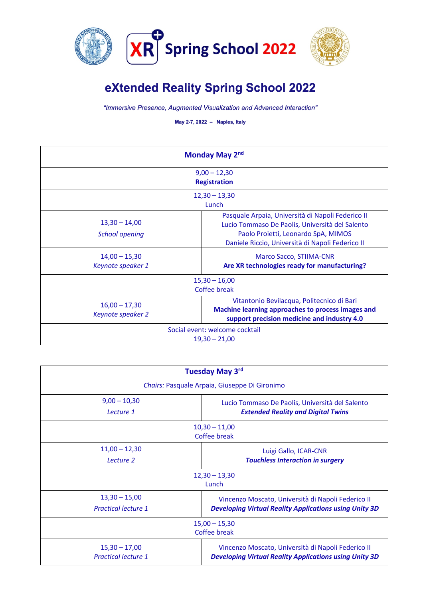



## eXtended Reality Spring School 2022

"Immersive Presence, Augmented Visualization and Advanced Interaction"

May 2-7, 2022 - Naples, Italy

| Monday May 2nd                                    |                                                                                                                                                                                                 |  |
|---------------------------------------------------|-------------------------------------------------------------------------------------------------------------------------------------------------------------------------------------------------|--|
| $9,00 - 12,30$<br><b>Registration</b>             |                                                                                                                                                                                                 |  |
| $12,30 - 13,30$<br>Lunch                          |                                                                                                                                                                                                 |  |
| $13,30 - 14,00$<br><b>School opening</b>          | Pasquale Arpaia, Università di Napoli Federico II<br>Lucio Tommaso De Paolis, Università del Salento<br>Paolo Proietti, Leonardo SpA, MIMOS<br>Daniele Riccio, Università di Napoli Federico II |  |
| $14,00 - 15,30$<br>Keynote speaker 1              | <b>Marco Sacco, STIIMA-CNR</b><br>Are XR technologies ready for manufacturing?                                                                                                                  |  |
| $15,30 - 16,00$<br>Coffee break                   |                                                                                                                                                                                                 |  |
| $16,00 - 17,30$<br>Keynote speaker 2              | Vitantonio Bevilacqua, Politecnico di Bari<br>Machine learning approaches to process images and<br>support precision medicine and industry 4.0                                                  |  |
| Social event: welcome cocktail<br>$19,30 - 21,00$ |                                                                                                                                                                                                 |  |

| <b>Tuesday May 3rd</b><br>Chairs: Pasquale Arpaia, Giuseppe Di Gironimo |                                                               |  |
|-------------------------------------------------------------------------|---------------------------------------------------------------|--|
|                                                                         |                                                               |  |
| Lecture 1                                                               | <b>Extended Reality and Digital Twins</b>                     |  |
| $10,30 - 11,00$<br>Coffee break                                         |                                                               |  |
| $11,00 - 12,30$                                                         | Luigi Gallo, ICAR-CNR                                         |  |
| Lecture 2                                                               | <b>Touchless Interaction in surgery</b>                       |  |
| $12,30 - 13,30$<br>Lunch                                                |                                                               |  |
| $13,30 - 15,00$                                                         | Vincenzo Moscato, Università di Napoli Federico II            |  |
| <b>Practical lecture 1</b>                                              | <b>Developing Virtual Reality Applications using Unity 3D</b> |  |
| $15,00 - 15,30$<br>Coffee break                                         |                                                               |  |
| $15,30 - 17,00$                                                         | Vincenzo Moscato, Università di Napoli Federico II            |  |
| <b>Practical lecture 1</b>                                              | <b>Developing Virtual Reality Applications using Unity 3D</b> |  |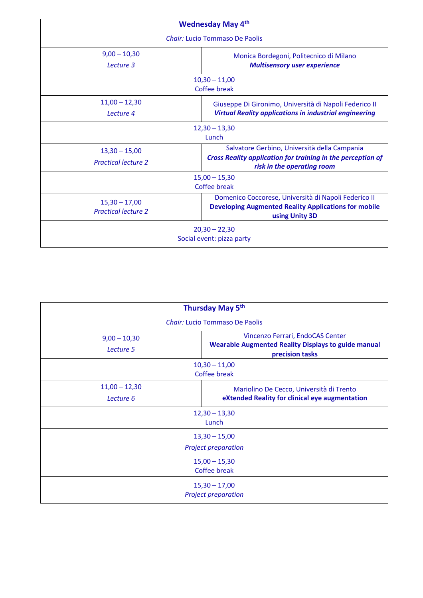| <b>Wednesday May 4th</b>                      |                                                                                                                     |  |
|-----------------------------------------------|---------------------------------------------------------------------------------------------------------------------|--|
| Chair: Lucio Tommaso De Paolis                |                                                                                                                     |  |
| $9,00 - 10,30$                                | Monica Bordegoni, Politecnico di Milano                                                                             |  |
| Lecture 3                                     | <b>Multisensory user experience</b>                                                                                 |  |
| $10,30 - 11,00$<br>Coffee break               |                                                                                                                     |  |
| $11,00 - 12,30$                               | Giuseppe Di Gironimo, Università di Napoli Federico II                                                              |  |
| Lecture 4                                     | <b>Virtual Reality applications in industrial engineering</b>                                                       |  |
|                                               | $12,30 - 13,30$                                                                                                     |  |
| Lunch                                         |                                                                                                                     |  |
| $13,30 - 15,00$                               | Salvatore Gerbino, Università della Campania                                                                        |  |
| <b>Practical lecture 2</b>                    | Cross Reality application for training in the perception of<br>risk in the operating room                           |  |
| $15,00 - 15,30$                               |                                                                                                                     |  |
| Coffee break                                  |                                                                                                                     |  |
| $15,30 - 17,00$<br><b>Practical lecture 2</b> | Domenico Coccorese, Università di Napoli Federico II<br><b>Developing Augmented Reality Applications for mobile</b> |  |
|                                               | using Unity 3D                                                                                                      |  |
| $20,30 - 22,30$                               |                                                                                                                     |  |
| Social event: pizza party                     |                                                                                                                     |  |

| Thursday May 5 <sup>th</sup>                  |                                                                                                                   |  |
|-----------------------------------------------|-------------------------------------------------------------------------------------------------------------------|--|
| <i>Chair:</i> Lucio Tommaso De Paolis         |                                                                                                                   |  |
| $9,00 - 10,30$<br>Lecture 5                   | Vincenzo Ferrari, EndoCAS Center<br><b>Wearable Augmented Reality Displays to guide manual</b><br>precision tasks |  |
| $10,30 - 11,00$<br><b>Coffee break</b>        |                                                                                                                   |  |
| $11,00 - 12,30$<br>Lecture 6                  | Mariolino De Cecco, Università di Trento<br>eXtended Reality for clinical eye augmentation                        |  |
| $12,30 - 13,30$<br>Lunch                      |                                                                                                                   |  |
| $13,30 - 15,00$<br><b>Project preparation</b> |                                                                                                                   |  |
| $15,00 - 15,30$<br><b>Coffee break</b>        |                                                                                                                   |  |
| $15,30 - 17,00$<br><b>Project preparation</b> |                                                                                                                   |  |